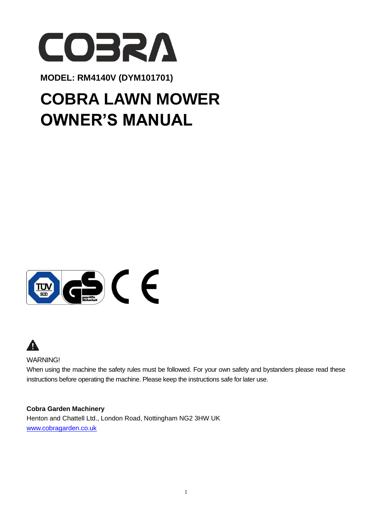

**MODEL: RM4140V (DYM101701)** 

# **COBRA LAWN MOWER OWNER'S MANUAL**





WARNING!

When using the machine the safety rules must be followed. For your own safety and bystanders please read these instructions before operating the machine. Please keep the instructions safe for later use.

#### **Cobra Garden Machinery**

Henton and Chattell Ltd., London Road, Nottingham NG2 3HW UK [www.cobragarden.co.uk](http://www.cobragarden.co.uk/)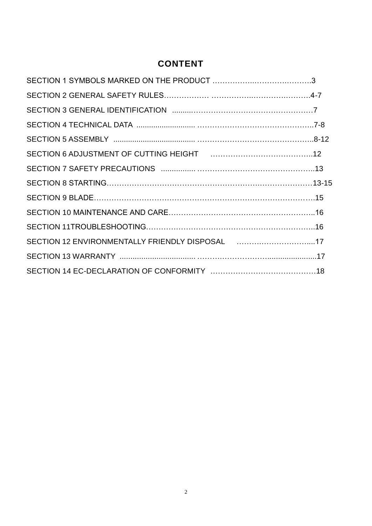## **CONTENT**

| SECTION 6 ADJUSTMENT OF CUTTING HEIGHT [1111] [111] ALLOWING ADJUSTMENT OF CUTTING HEIGHT |  |
|-------------------------------------------------------------------------------------------|--|
|                                                                                           |  |
|                                                                                           |  |
|                                                                                           |  |
|                                                                                           |  |
|                                                                                           |  |
| SECTION 12 ENVIRONMENTALLY FRIENDLY DISPOSAL [1,1,1,1,1,1,1,1,1,1,1,1,17]                 |  |
|                                                                                           |  |
|                                                                                           |  |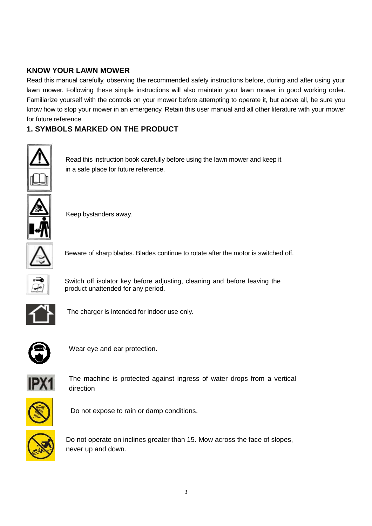#### **KNOW YOUR LAWN MOWER**

Read this manual carefully, observing the recommended safety instructions before, during and after using your lawn mower. Following these simple instructions will also maintain your lawn mower in good working order. Familiarize yourself with the controls on your mower before attempting to operate it, but above all, be sure you know how to stop your mower in an emergency. Retain this user manual and all other literature with your mower for future reference.

#### **1. SYMBOLS MARKED ON THE PRODUCT**



Read this instruction book carefully before using the lawn mower and keep it in a safe place for future reference.



Keep bystanders away.



Beware of sharp blades. Blades continue to rotate after the motor is switched off.



Switch off isolator key before adjusting, cleaning and before leaving the product unattended for any period.



The charger is intended for indoor use only.



Wear eye and ear protection.



The machine is protected against ingress of water drops from a vertical direction



Do not expose to rain or damp conditions.



Do not operate on inclines greater than 15. Mow across the face of slopes, never up and down.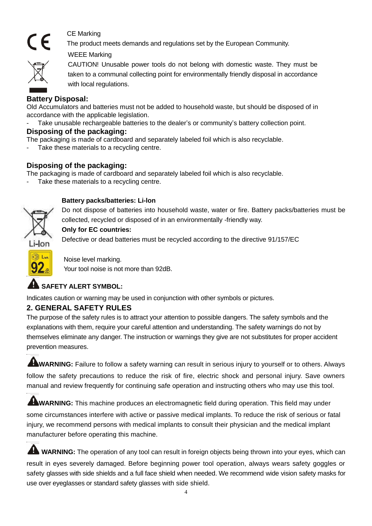

CE Marking

The product meets demands and regulations set by the European Community.

WEEE Marking



CAUTION! Unusable power tools do not belong with domestic waste. They must be taken to a communal collecting point for environmentally friendly disposal in accordance with local regulations.

#### **Battery Disposal:**

Old Accumulators and batteries must not be added to household waste, but should be disposed of in accordance with the applicable legislation.

Take unusable rechargeable batteries to the dealer's or community's battery collection point.

#### **Disposing of the packaging:**

The packaging is made of cardboard and separately labeled foil which is also recyclable.

Take these materials to a recycling centre.

#### **Disposing of the packaging:**

The packaging is made of cardboard and separately labeled foil which is also recyclable.

Take these materials to a recycling centre.



#### **Battery packs/batteries: Li-lon**

Do not dispose of batteries into household waste, water or fire. Battery packs/batteries must be collected, recycled or disposed of in an environmentally -friendly way.

#### **Only for EC countries:**

Defective or dead batteries must be recycled according to the directive 91/157/EC



Noise level marking. Your tool noise is not more than 92dB.

## **SAFFTY ALERT SYMBOL:**

Indicates caution or warning may be used in conjunction with other symbols or pictures.

#### **2. GENERAL SAFETY RULES**

The purpose of the safety rules is to attract your attention to possible dangers. The safety symbols and the explanations with them, require your careful attention and understanding. The safety warnings do not by themselves eliminate any danger. The instruction or warnings they give are not substitutes for proper accident prevention measures.

**WARNING:** Failure to follow a safety warning can result in serious injury to yourself or to others. Always follow the safety precautions to reduce the risk of fire, electric shock and personal injury. Save owners manual and review frequently for continuing safe operation and instructing others who may use this tool.

**WARNING:** This machine produces an electromagnetic field during operation. This field may under some circumstances interfere with active or passive medical implants. To reduce the risk of serious or fatal injury, we recommend persons with medical implants to consult their physician and the medical implant manufacturer before operating this machine.

**WARNING:** The operation of any tool can result in foreign objects being thrown into your eyes, which can result in eyes severely damaged. Before beginning power tool operation, always wears safety goggles or safety glasses with side shields and a full face shield when needed. We recommend wide vision safety masks for use over eyeglasses or standard safety glasses with side shield.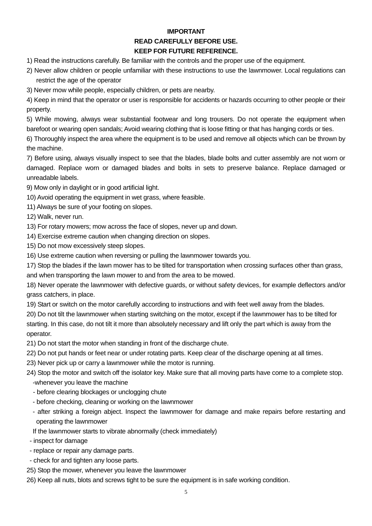#### **IMPORTANT**

#### **READ CAREFULLY BEFORE USE.**

#### **KEEP FOR FUTURE REFERENCE.**

- 1) Read the instructions carefully. Be familiar with the controls and the proper use of the equipment.
- 2) Never allow children or people unfamiliar with these instructions to use the lawnmower. Local regulations can restrict the age of the operator
- 3) Never mow while people, especially children, or pets are nearby.

4) Keep in mind that the operator or user is responsible for accidents or hazards occurring to other people or their property.

5) While mowing, always wear substantial footwear and long trousers. Do not operate the equipment when barefoot or wearing open sandals; Avoid wearing clothing that is loose fitting or that has hanging cords or ties.

6) Thoroughly inspect the area where the equipment is to be used and remove all objects which can be thrown by the machine.

7) Before using, always visually inspect to see that the blades, blade bolts and cutter assembly are not worn or damaged. Replace worn or damaged blades and bolts in sets to preserve balance. Replace damaged or unreadable labels.

- 9) Mow only in daylight or in good artificial light.
- 10) Avoid operating the equipment in wet grass, where feasible.
- 11) Always be sure of your footing on slopes.

12) Walk, never run.

- 13) For rotary mowers; mow across the face of slopes, never up and down.
- 14) Exercise extreme caution when changing direction on slopes.
- 15) Do not mow excessively steep slopes.
- 16) Use extreme caution when reversing or pulling the lawnmower towards you.

17) Stop the blades if the lawn mower has to be tilted for transportation when crossing surfaces other than grass, and when transporting the lawn mower to and from the area to be mowed.

18) Never operate the lawnmower with defective guards, or without safety devices, for example deflectors and/or grass catchers, in place.

19) Start or switch on the motor carefully according to instructions and with feet well away from the blades.

20) Do not tilt the lawnmower when starting switching on the motor, except if the lawnmower has to be tilted for starting. In this case, do not tilt it more than absolutely necessary and lift only the part which is away from the operator.

- 21) Do not start the motor when standing in front of the discharge chute.
- 22) Do not put hands or feet near or under rotating parts. Keep clear of the discharge opening at all times.
- 23) Never pick up or carry a lawnmower while the motor is running.

24) Stop the motor and switch off the isolator key. Make sure that all moving parts have come to a complete stop. -whenever you leave the machine

- before clearing blockages or unclogging chute
- before checking, cleaning or working on the lawnmower
- after striking a foreign abject. Inspect the lawnmower for damage and make repairs before restarting and operating the lawnmower
- If the lawnmower starts to vibrate abnormally (check immediately)
- inspect for damage
- replace or repair any damage parts.
- check for and tighten any loose parts.
- 25) Stop the mower, whenever you leave the lawnmower
- 26) Keep all nuts, blots and screws tight to be sure the equipment is in safe working condition.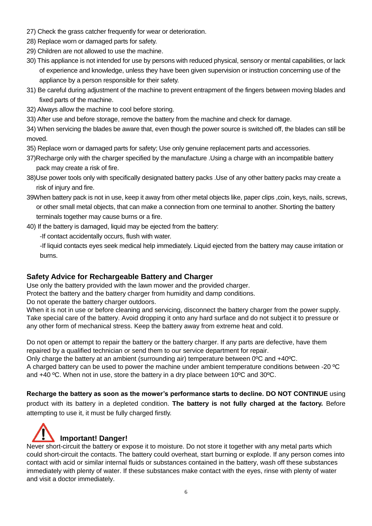- 27) Check the grass catcher frequently for wear or deterioration.
- 28) Replace worn or damaged parts for safety.
- 29) Children are not allowed to use the machine.
- 30) This appliance is not intended for use by persons with reduced physical, sensory or mental capabilities, or lack of experience and knowledge, unless they have been given supervision or instruction concerning use of the appliance by a person responsible for their safety.
- 31) Be careful during adjustment of the machine to prevent entrapment of the fingers between moving blades and fixed parts of the machine.
- 32) Always allow the machine to cool before storing.
- 33) After use and before storage, remove the battery from the machine and check for damage.

34) When servicing the blades be aware that, even though the power source is switched off, the blades can still be moved.

35) Replace worn or damaged parts for safety; Use only genuine replacement parts and accessories.

- 37)Recharge only with the charger specified by the manufacture .Using a charge with an incompatible battery pack may create a risk of fire.
- 38)Use power tools only with specifically designated battery packs .Use of any other battery packs may create a risk of injury and fire.
- 39When battery pack is not in use, keep it away from other metal objects like, paper clips ,coin, keys, nails, screws, or other small metal objects, that can make a connection from one terminal to another. Shorting the battery terminals together may cause burns or a fire.
- 40) If the battery is damaged, liquid may be ejected from the battery:
	- -If contact accidentally occurs, flush with water.

-If liquid contacts eyes seek medical help immediately. Liquid ejected from the battery may cause irritation or burns.

#### **Safety Advice for Rechargeable Battery and Charger**

Use only the battery provided with the lawn mower and the provided charger.

Protect the battery and the battery charger from humidity and damp conditions.

Do not operate the battery charger outdoors.

When it is not in use or before cleaning and servicing, disconnect the battery charger from the power supply. Take special care of the battery. Avoid dropping it onto any hard surface and do not subject it to pressure or any other form of mechanical stress. Keep the battery away from extreme heat and cold.

Do not open or attempt to repair the battery or the battery charger. If any parts are defective, have them repaired by a qualified technician or send them to our service department for repair.

Only charge the battery at an ambient (surrounding air) temperature between 0ºC and +40ºC.

A charged battery can be used to power the machine under ambient temperature conditions between -20 ºC and +40 ºC. When not in use, store the battery in a dry place between 10ºC and 30ºC.

**Recharge the battery as soon as the mower's performance starts to decline. DO NOT CONTINUE** using product with its battery in a depleted condition. **The battery is not fully charged at the factory.** Before attempting to use it, it must be fully charged firstly.



Never short-circuit the battery or expose it to moisture. Do not store it together with any metal parts which could short-circuit the contacts. The battery could overheat, start burning or explode. If any person comes into contact with acid or similar internal fluids or substances contained in the battery, wash off these substances immediately with plenty of water. If these substances make contact with the eyes, rinse with plenty of water and visit a doctor immediately.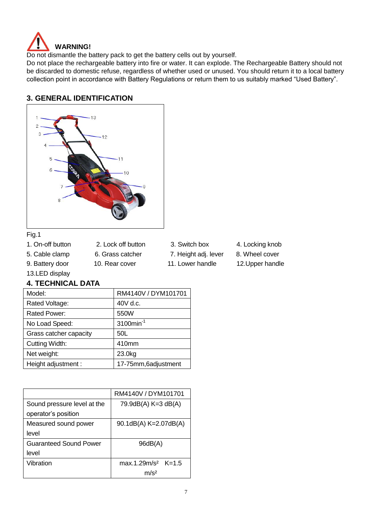

Do not dismantle the battery pack to get the battery cells out by yourself.

Do not place the rechargeable battery into fire or water. It can explode. The Rechargeable Battery should not be discarded to domestic refuse, regardless of whether used or unused. You should return it to a local battery collection point in accordance with Battery Regulations or return them to us suitably marked "Used Battery".

#### **3. GENERAL IDENTIFICATION**



#### Fig.1

- 
- - -
		-
- 1. On-off button 2. Lock off button 3. Switch box 4. Locking knob
- 5. Cable clamp 6. Grass catcher 7. Height adj. lever 8. Wheel cover
- 9. Battery door 10. Rear cover 11. Lower handle 12. Upper handle
- 
- -

#### 13.LED display

#### **4. TECHNICAL DATA**

| Model:                 | RM4140V / DYM101701      |
|------------------------|--------------------------|
| Rated Voltage:         | 40V d.c.                 |
| Rated Power:           | 550W                     |
| No Load Speed:         | $3100$ min <sup>-1</sup> |
| Grass catcher capacity | 50L                      |
| Cutting Width:         | 410mm                    |
| Net weight:            | 23.0kg                   |
| Height adjustment :    | 17-75mm, 6adjustment     |

|                               | RM4140V / DYM101701   |
|-------------------------------|-----------------------|
| Sound pressure level at the   | 79.9dB(A) K=3 dB(A)   |
| operator's position           |                       |
| Measured sound power          | 90.1dB(A) K=2.07dB(A) |
| level                         |                       |
| <b>Guaranteed Sound Power</b> | 96dB(A)               |
| level                         |                       |
| Vibration                     | $max.1.29m/s2$ K=1.5  |
|                               | m/s2                  |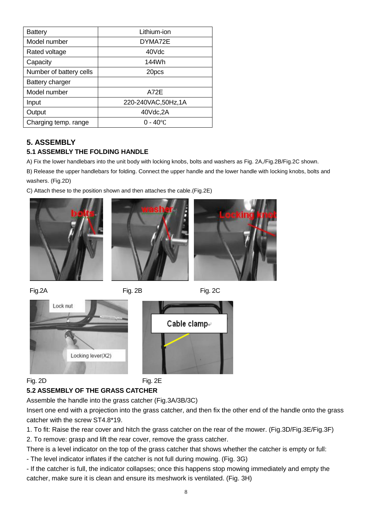| Battery                 | Lithium-ion          |
|-------------------------|----------------------|
|                         |                      |
| Model number            | DYMA72E              |
| Rated voltage           | 40Vdc                |
| Capacity                | 144Wh                |
| Number of battery cells | 20pcs                |
| Battery charger         |                      |
| Model number            | A72E                 |
| Input                   | 220-240VAC, 50Hz, 1A |
| Output                  | 40Vdc,2A             |
| Charging temp. range    | $0 - 40^{\circ}$ C   |

#### **5. ASSEMBLY**

#### **5.1 ASSEMBLY THE FOLDING HANDLE**

A) Fix the lower handlebars into the unit body with locking knobs, bolts and washers as Fig. 2A,/Fig.2B/Fig.2C shown.

B) Release the upper handlebars for folding. Connect the upper handle and the lower handle with locking knobs, bolts and washers. (Fig.2D)

C) Attach these to the position shown and then attaches the cable.(Fig.2E)







Fig.2A Fig. 2B Fig.2C



#### Fig. 2D Fig. 2E

#### **5.2 ASSEMBLY OF THE GRASS CATCHER**

Assemble the handle into the grass catcher (Fig.3A/3B/3C)

Insert one end with a projection into the grass catcher, and then fix the other end of the handle onto the grass catcher with the screw ST4.8\*19.

1. To fit: Raise the rear cover and hitch the grass catcher on the rear of the mower. (Fig.3D/Fig.3E/Fig.3F)

2. To remove: grasp and lift the rear cover, remove the grass catcher.

There is a level indicator on the top of the grass catcher that shows whether the catcher is empty or full: - The level indicator inflates if the catcher is not full during mowing. (Fig. 3G)

- If the catcher is full, the indicator collapses; once this happens stop mowing immediately and empty the catcher, make sure it is clean and ensure its meshwork is ventilated. (Fig. 3H)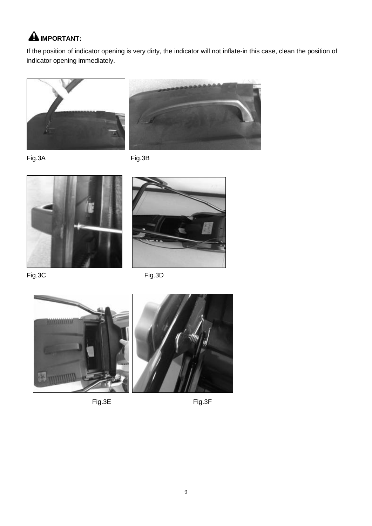## **A** IMPORTANT:

If the position of indicator opening is very dirty, the indicator will not inflate-in this case, clean the position of indicator opening immediately.





Fig.3A Fig.3B





Fig.3C Fig.3D





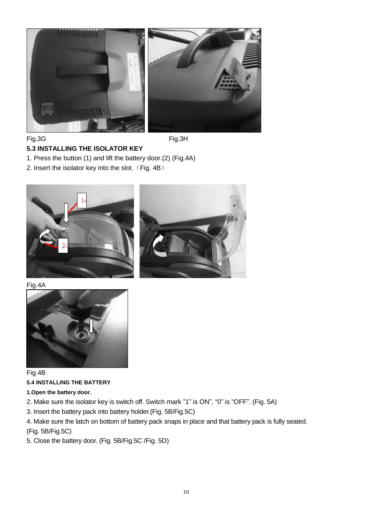

Fig.3G Fig.3H

#### **5.3 INSTALLING THE ISOLATOR KEY**

- 1. Press the button (1) and lift the battery door.(2) (Fig.4A)
- 2. Insert the isolator key into the slot.  $(Fig. 4B)$





Fig.4A



Fig.4B **5.4 INSTALLING THE BATTERY**

- **1.Open the battery door.**
- 2. Make sure the isolator key is switch off. Switch mark "1" is ON", "0" is "OFF". (Fig. 5A)
- 3. Insert the battery pack into battery holder.(Fig. 5B/Fig.5C)
- 4. Make sure the latch on bottom of battery pack snaps in place and that battery pack is fully seated. (Fig. 5B/Fig.5C)
- 5. Close the battery door. (Fig. 5B/Fig.5C /Fig. 5D)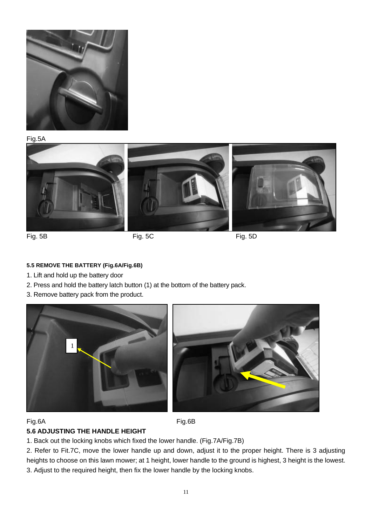

Fig.5A



#### **5.5 REMOVE THE BATTERY (Fig.6A/Fig.6B)**

- 1. Lift and hold up the battery door
- 2. Press and hold the battery latch button (1) at the bottom of the battery pack.
- 3. Remove battery pack from the product.





#### Fig.6A Fig.6B

#### **5.6 ADJUSTING THE HANDLE HEIGHT**

1. Back out the locking knobs which fixed the lower handle. (Fig.7A/Fig.7B)

2. Refer to Fit.7C, move the lower handle up and down, adjust it to the proper height. There is 3 adjusting heights to choose on this lawn mower; at 1 height, lower handle to the ground is highest, 3 height is the lowest. 3. Adjust to the required height, then fix the lower handle by the locking knobs.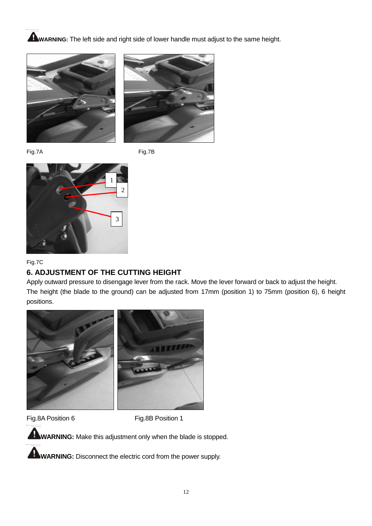**WARNING:** The left side and right side of lower handle must adjust to the same height.





Fig.7A Fig.7B



#### Fig.7C

#### **6. ADJUSTMENT OF THE CUTTING HEIGHT**

Apply outward pressure to disengage lever from the rack. Move the lever forward or back to adjust the height. The height (the blade to the ground) can be adjusted from 17mm (position 1) to 75mm (position 6), 6 height positions.



Fig.8A Position 6 Fig.8B Position 1

**WARNING:** Make this adjustment only when the blade is stopped.

**WARNING:** Disconnect the electric cord from the power supply.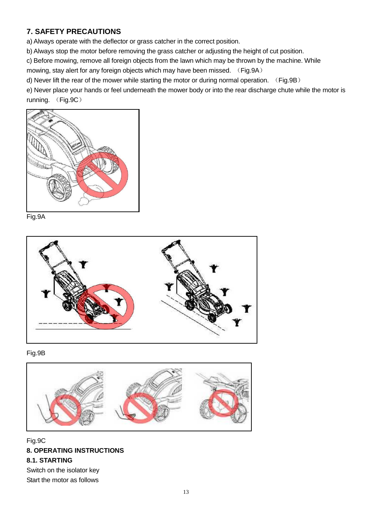#### **7. SAFETY PRECAUTIONS**

a) Always operate with the deflector or grass catcher in the correct position.

b) Always stop the motor before removing the grass catcher or adjusting the height of cut position.

c) Before mowing, remove all foreign objects from the lawn which may be thrown by the machine. While

mowing, stay alert for any foreign objects which may have been missed. (Fig.9A)

d) Never lift the rear of the mower while starting the motor or during normal operation. (Fig.9B)

e) Never place your hands or feel underneath the mower body or into the rear discharge chute while the motor is running. (Fig.9C)











Fig.9C **8. OPERATING INSTRUCTIONS 8.1. STARTING** Switch on the isolator key Start the motor as follows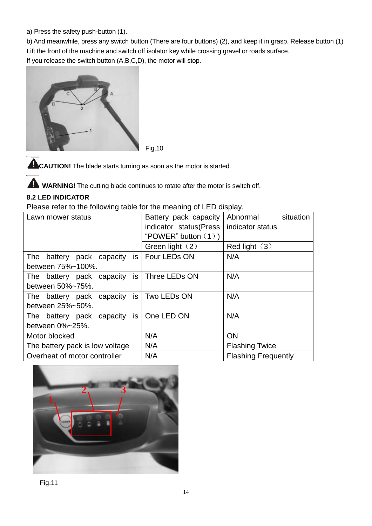a) Press the safety push-button (1).

b) And meanwhile, press any switch button (There are four buttons) (2), and keep it in grasp. Release button (1) Lift the front of the machine and switch off isolator key while crossing gravel or roads surface. If you release the switch button (A,B,C,D), the motor will stop.



Fig.10

**CAUTION!** The blade starts turning as soon as the motor is started.

**WARNING!** The cutting blade continues to rotate after the motor is switch off.

#### **8.2 LED INDICATOR**

Please refer to the following table for the meaning of LED display.

| Lawn mower status                         |  |                          |                       | Battery pack capacity                      | Abnormal                   | situation |
|-------------------------------------------|--|--------------------------|-----------------------|--------------------------------------------|----------------------------|-----------|
|                                           |  |                          |                       | indicator status (Press                    | indicator status           |           |
|                                           |  |                          |                       | "POWER" button $(1)$ )                     |                            |           |
|                                           |  |                          |                       | Green light $(2)$                          | Red light $(3)$            |           |
| The                                       |  | battery pack capacity is |                       | Four LEDs ON                               | N/A                        |           |
| between 75%~100%.                         |  |                          |                       |                                            |                            |           |
| The battery pack capacity is              |  |                          |                       | Three LEDs ON                              | N/A                        |           |
| between 50%~75%.                          |  |                          |                       |                                            |                            |           |
|                                           |  |                          |                       | The battery pack capacity is   Two LEDs ON | N/A                        |           |
| between 25%~50%.                          |  |                          |                       |                                            |                            |           |
| The battery pack capacity is   One LED ON |  |                          |                       |                                            | N/A                        |           |
| between 0%~25%.                           |  |                          |                       |                                            |                            |           |
| Motor blocked                             |  |                          |                       | N/A                                        | <b>ON</b>                  |           |
| The battery pack is low voltage           |  | N/A                      | <b>Flashing Twice</b> |                                            |                            |           |
| Overheat of motor controller              |  |                          |                       | N/A                                        | <b>Flashing Frequently</b> |           |
|                                           |  |                          |                       |                                            |                            |           |

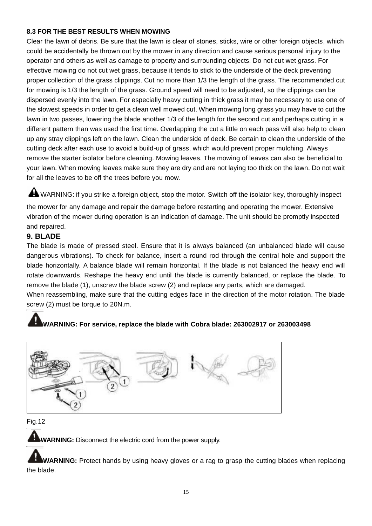#### **8.3 FOR THE BEST RESULTS WHEN MOWING**

Clear the lawn of debris. Be sure that the lawn is clear of stones, sticks, wire or other foreign objects, which could be accidentally be thrown out by the mower in any direction and cause serious personal injury to the operator and others as well as damage to property and surrounding objects. Do not cut wet grass. For effective mowing do not cut wet grass, because it tends to stick to the underside of the deck preventing proper collection of the grass clippings. Cut no more than 1/3 the length of the grass. The recommended cut for mowing is 1/3 the length of the grass. Ground speed will need to be adjusted, so the clippings can be dispersed evenly into the lawn. For especially heavy cutting in thick grass it may be necessary to use one of the slowest speeds in order to get a clean well mowed cut. When mowing long grass you may have to cut the lawn in two passes, lowering the blade another 1/3 of the length for the second cut and perhaps cutting in a different pattern than was used the first time. Overlapping the cut a little on each pass will also help to clean up any stray clippings left on the lawn. Clean the underside of deck. Be certain to clean the underside of the cutting deck after each use to avoid a build-up of grass, which would prevent proper mulching. Always remove the starter isolator before cleaning. Mowing leaves. The mowing of leaves can also be beneficial to your lawn. When mowing leaves make sure they are dry and are not laying too thick on the lawn. Do not wait for all the leaves to be off the trees before you mow.

A WARNING: if you strike a foreign object, stop the motor. Switch off the isolator key, thoroughly inspect

the mower for any damage and repair the damage before restarting and operating the mower. Extensive vibration of the mower during operation is an indication of damage. The unit should be promptly inspected and repaired.

#### **9. BLADE**

The blade is made of pressed steel. Ensure that it is always balanced (an unbalanced blade will cause dangerous vibrations). To check for balance, insert a round rod through the central hole and support the blade horizontally. A balance blade will remain horizontal. If the blade is not balanced the heavy end will rotate downwards. Reshape the heavy end until the blade is currently balanced, or replace the blade. To remove the blade (1), unscrew the blade screw (2) and replace any parts, which are damaged.

When reassembling, make sure that the cutting edges face in the direction of the motor rotation. The blade screw (2) must be torque to 20N.m.

## **WARNING: For service, replace the blade with Cobra blade: 263002917 or 263003498**



Fig.12

**WARNING:** Disconnect the electric cord from the power supply.

**WARNING:** Protect hands by using heavy gloves or a rag to grasp the cutting blades when replacing the blade.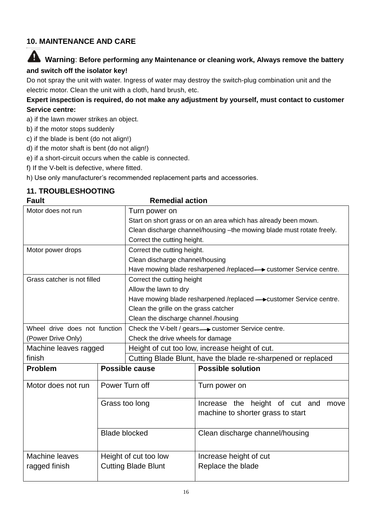## **10. MAINTENANCE AND CARE**

## **Warning**: **Before performing any Maintenance or cleaning work, Always remove the battery and switch off the isolator key!**

Do not spray the unit with water. Ingress of water may destroy the switch-plug combination unit and the electric motor. Clean the unit with a cloth, hand brush, etc.

#### **Expert inspection is required, do not make any adjustment by yourself, must contact to customer Service centre:**

- a) if the lawn mower strikes an object.
- b) if the motor stops suddenly
- c) if the blade is bent (do not align!)
- d) if the motor shaft is bent (do not align!)
- e) if a short-circuit occurs when the cable is connected.
- f) If the V-belt is defective, where fitted.
- h) Use only manufacturer's recommended replacement parts and accessories.

#### **11. TROUBLESHOOTING**

#### **Fault Remedial action**

|                               |                            | wuwanai action                                                        |                                                                             |  |  |
|-------------------------------|----------------------------|-----------------------------------------------------------------------|-----------------------------------------------------------------------------|--|--|
| Motor does not run            |                            | Turn power on                                                         |                                                                             |  |  |
|                               |                            |                                                                       | Start on short grass or on an area which has already been mown.             |  |  |
|                               |                            | Clean discharge channel/housing -the mowing blade must rotate freely. |                                                                             |  |  |
|                               |                            | Correct the cutting height.                                           |                                                                             |  |  |
| Motor power drops             |                            | Correct the cutting height.                                           |                                                                             |  |  |
|                               |                            | Clean discharge channel/housing                                       |                                                                             |  |  |
|                               |                            | Have mowing blade resharpened /replaced-> customer Service centre.    |                                                                             |  |  |
| Grass catcher is not filled   |                            | Correct the cutting height                                            |                                                                             |  |  |
|                               |                            | Allow the lawn to dry                                                 |                                                                             |  |  |
|                               |                            | Have mowing blade resharpened /replaced - customer Service centre.    |                                                                             |  |  |
|                               |                            |                                                                       | Clean the grille on the grass catcher                                       |  |  |
|                               |                            | Clean the discharge channel /housing                                  |                                                                             |  |  |
| Wheel drive does not function |                            | Check the V-belt / gears  ightarrow customer Service centre.          |                                                                             |  |  |
| (Power Drive Only)            |                            | Check the drive wheels for damage                                     |                                                                             |  |  |
| Machine leaves ragged         |                            | Height of cut too low, increase height of cut.                        |                                                                             |  |  |
| finish                        |                            | Cutting Blade Blunt, have the blade re-sharpened or replaced          |                                                                             |  |  |
| <b>Problem</b>                | Possible cause             |                                                                       | <b>Possible solution</b>                                                    |  |  |
| Motor does not run            | Power Turn off             |                                                                       | Turn power on                                                               |  |  |
|                               | Grass too long             |                                                                       | Increase the height of cut and<br>move<br>machine to shorter grass to start |  |  |
|                               | <b>Blade blocked</b>       |                                                                       | Clean discharge channel/housing                                             |  |  |
| Machine leaves                | Height of cut too low      |                                                                       | Increase height of cut                                                      |  |  |
| ragged finish                 | <b>Cutting Blade Blunt</b> |                                                                       | Replace the blade                                                           |  |  |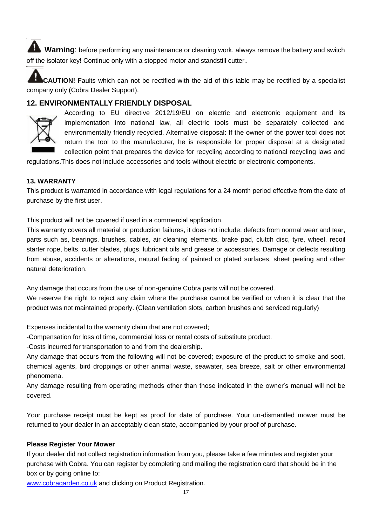**Warning**: before performing any maintenance or cleaning work, always remove the battery and switch off the isolator key! Continue only with a stopped motor and standstill cutter..

**CAUTION!** Faults which can not be rectified with the aid of this table may be rectified by a specialist company only (Cobra Dealer Support).

#### **12. ENVIRONMENTALLY FRIENDLY DISPOSAL**



According to EU directive 2012/19/EU on electric and electronic equipment and its implementation into national law, all electric tools must be separately collected and environmentally friendly recycled. Alternative disposal: If the owner of the power tool does not return the tool to the manufacturer, he is responsible for proper disposal at a designated collection point that prepares the device for recycling according to national recycling laws and

regulations.This does not include accessories and tools without electric or electronic components.

#### **13. WARRANTY**

This product is warranted in accordance with legal regulations for a 24 month period effective from the date of purchase by the first user.

This product will not be covered if used in a commercial application.

This warranty covers all material or production failures, it does not include: defects from normal wear and tear, parts such as, bearings, brushes, cables, air cleaning elements, brake pad, clutch disc, tyre, wheel, recoil starter rope, belts, cutter blades, plugs, lubricant oils and grease or accessories. Damage or defects resulting from abuse, accidents or alterations, natural fading of painted or plated surfaces, sheet peeling and other natural deterioration.

Any damage that occurs from the use of non-genuine Cobra parts will not be covered.

We reserve the right to reject any claim where the purchase cannot be verified or when it is clear that the product was not maintained properly. (Clean ventilation slots, carbon brushes and serviced regularly)

Expenses incidental to the warranty claim that are not covered;

-Compensation for loss of time, commercial loss or rental costs of substitute product.

-Costs incurred for transportation to and from the dealership.

Any damage that occurs from the following will not be covered; exposure of the product to smoke and soot, chemical agents, bird droppings or other animal waste, seawater, sea breeze, salt or other environmental phenomena.

Any damage resulting from operating methods other than those indicated in the owner's manual will not be covered.

Your purchase receipt must be kept as proof for date of purchase. Your un-dismantled mower must be returned to your dealer in an acceptably clean state, accompanied by your proof of purchase.

#### **Please Register Your Mower**

If your dealer did not collect registration information from you, please take a few minutes and register your purchase with Cobra. You can register by completing and mailing the registration card that should be in the box or by going online to:

[www.cobragarden.co.uk](http://www.cobragarden.co.uk/) and clicking on Product Registration.